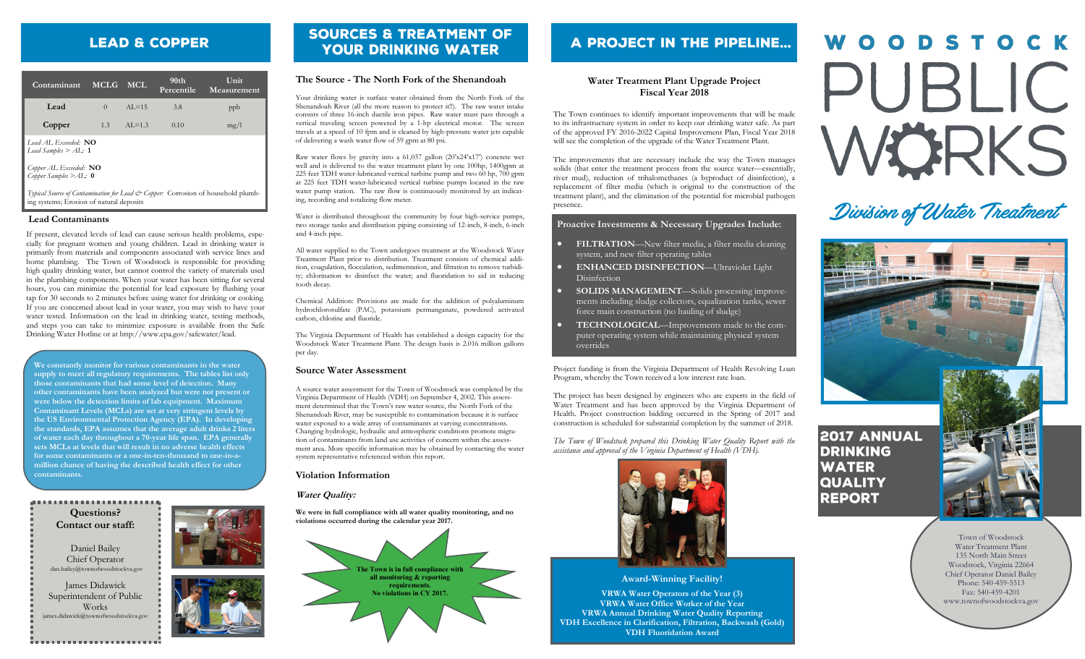# **LEAD & COPPER**

| Contaminant                                              | <b>MCLG</b> | MCL.       | 90 <sub>th</sub><br>Percentile | Unit<br>Measurement |
|----------------------------------------------------------|-------------|------------|--------------------------------|---------------------|
| Lead                                                     | $\Omega$    | $AI = 15$  | 3.8                            | ppb                 |
| Copper                                                   | 1.3         | $AI = 1.3$ | 0.10                           | mg/l                |
| <i>Lead AL. Exceeded:</i> $NO$<br>Lead Samples $>$ AL: 1 |             |            |                                |                     |
| Copper AL Exceeded: $NO$<br>Copper Samples $>$ AL: 0     |             |            |                                |                     |

*Typical Source of Contamination for Lead & Copper:* Corrosion of household plumbing systems; Erosion of natural deposits

### **Lead Contaminants**

If present, elevated levels of lead can cause serious health problems, especially for pregnant women and young children. Lead in drinking water is primarily from materials and components associated with service lines and home plumbing. The Town of Woodstock is responsible for providing high quality drinking water, but cannot control the variety of materials used in the plumbing components. When your water has been sitting for several hours, you can minimize the potential for lead exposure by flushing your tap for 30 seconds to 2 minutes before using water for drinking or cooking. If you are concerned about lead in your water, you may wish to have your water tested. Information on the lead in drinking water, testing methods, and steps you can take to minimize exposure is available from the Safe Drinking Water Hotline or at http://www.epa.gov/safewater/lead.

**We constantly monitor for various contaminants in the water supply to meet all regulatory requirements. The tables list only those contaminants that had some level of detection. Many other contaminants have been analyzed but were not present or were below the detection limits of lab equipment. Maximum Contaminant Levels (MCLs) are set at very stringent levels by the US Environmental Protection Agency (EPA). In developing the standards, EPA assumes that the average adult drinks 2 liters of water each day throughout a 70-year life span. EPA generally sets MCLs at levels that will result in no adverse health effects for some contaminants or a one-in-ten-thousand to one-in-amillion chance of having the described health effect for other contaminants.**

#### 

**Questions? Contact our staff:**

Daniel Bailey Chief Operator dan.bailey@townofwoodstockva.gov

James Didawick Superintendent of Public Works ames.didawick@townofwoodstockva.gov

. . . . . . . . . . . . . . . . . . . .



# **SOURCES & TREATMENT OF YOUR DRINKING WATER**

### **The Source - The North Fork of the Shenandoah**

Your drinking water is surface water obtained from the North Fork of the Shenandoah River (all the more reason to protect it!!). The raw water intake consists of three 16-inch ductile iron pipes. Raw water must pass through a vertical traveling screen powered by a 1-hp electrical motor. The screen travels at a speed of 10 fpm and is cleaned by high-pressure water jets capable of delivering a wash water flow of 59 gpm at 80 psi.

Raw water flows by gravity into a 61,037 gallon (20'x24'x17') concrete wet well and is delivered to the water treatment plant by one 100hp, 1400gpm at 225 feet TDH water-lubricated vertical turbine pump and two 60 hp, 700 gpm at 225 feet TDH water-lubricated vertical turbine pumps located in the raw water pump station. The raw flow is continuously monitored by an indicating, recording and totalizing flow meter.

Water is distributed throughout the community by four high-service pumps, two storage tanks and distribution piping consisting of 12-inch, 8-inch, 6-inch and 4-inch pipe.

All water supplied to the Town undergoes treatment at the Woodstock Water Treatment Plant prior to distribution. Treatment consists of chemical addition, coagulation, flocculation, sedimentation, and filtration to remove turbidity; chlorination to disinfect the water; and fluoridation to aid in reducing tooth decay.

Chemical Addition: Provisions are made for the addition of polyaluminum hydrochlorosulfate (PAC), potassium permanganate, powdered activated carbon, chlorine and fluoride.

The Virginia Department of Health has established a design capacity for the Woodstock Water Treatment Plant. The design basis is 2.016 million gallons per day.

# **Source Water Assessment**

A source water assessment for the Town of Woodstock was completed by the Virginia Department of Health (VDH) on September 4, 2002. This assessment determined that the Town's raw water source, the North Fork of the Shenandoah River, may be susceptible to contamination because it is surface water exposed to a wide array of contaminants at varying concentrations. Changing hydrologic, hydraulic and atmospheric conditions promote migration of contaminants from land use activities of concern within the assessment area. More specific information may be obtained by contacting the water system representative referenced within this report.

### **Violation Information**

**Water Quality:**

**We were in full compliance with all water quality monitoring, and no violations occurred during the calendar year 2017.**



# A PROJECT IN THE PIPELINE...

# **Water Treatment Plant Upgrade Project Fiscal Year 2018**

The Town continues to identify important improvements that will be made to its infrastructure system in order to keep our drinking water safe. As part of the approved FY 2016-2022 Capital Improvement Plan, Fiscal Year 2018 will see the completion of the upgrade of the Water Treatment Plant.

The improvements that are necessary include the way the Town manages solids (that enter the treatment process from the source water—essentially, river mud), reduction of trihalomethanes (a byproduct of disinfection), a replacement of filter media (which is original to the construction of the treatment plant), and the elimination of the potential for microbial pathogen presence.

# **Proactive Investments & Necessary Upgrades Include:**

- **FILTRATION**—New filter media, a filter media cleaning system, and new filter operating tables
- **ENHANCED DISINFECTION**—Ultraviolet Light **Disinfection**
- **SOLIDS MANAGEMENT**—Solids processing improvements including sludge collectors, equalization tanks, sewer force main construction (no hauling of sludge)
- **TECHNOLOGICAL**—Improvements made to the computer operating system while maintaining physical system overrides

Project funding is from the Virginia Department of Health Revolving Loan Program, whereby the Town received a low interest rate loan.

The project has been designed by engineers who are experts in the field of Water Treatment and has been approved by the Virginia Department of Health. Project construction bidding occurred in the Spring of 2017 and construction is scheduled for substantial completion by the summer of 2018.

*The Town of Woodstock prepared this Drinking Water Quality Report with the assistance and approval of the Virginia Department of Health (VDH).*



### **Award-Winning Facility!**

**VRWA Water Operators of the Year (3) VRWA Water Office Worker of the Year VRWA Annual Drinking Water Quality Reporting VDH Excellence in Clarification, Filtration, Backwash (Gold) VDH Fluoridation Award**

OODSTOCK PUBLIC WÖRKS

Division of Water Treatment



**DRINKING WATER QUALITY REPORT** 

Town of Woodstock Water Treatment Plant 135 North Main Street Woodstock, Virginia 22664 Chief Operator Daniel Bailey Phone: 540-459-5513

Fax: 540-459-4201 www.townofwoodstockva.gov